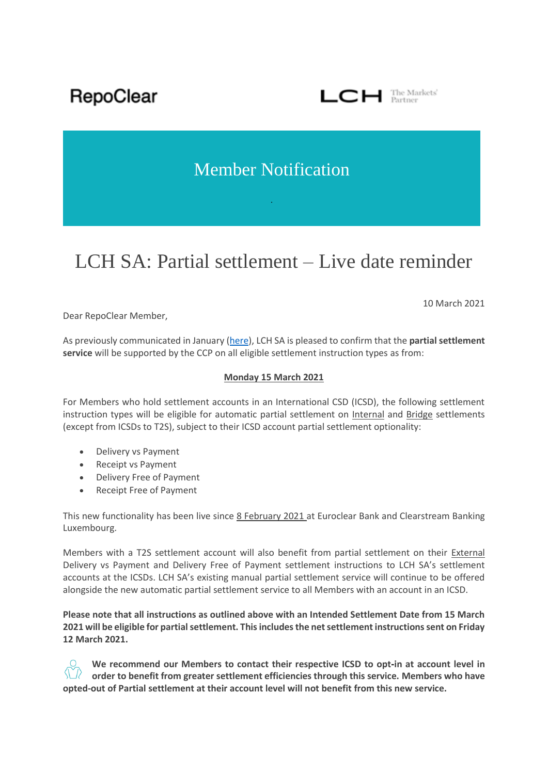RepoClear

## $\Box$  The Markets'

## Member Notification

# LCH SA: Partial settlement – Live date reminder

10 March 2021

Dear RepoClear Member,

As previously communicated in January [\(here\)](https://www.lch.com/system/files/media_root/Member%20Notification%20-%20%20LCH%20SA%20-%20Partial%20Settlement%20-%20Live%20Date.pdf), LCH SA is pleased to confirm that the **partial settlement service** will be supported by the CCP on all eligible settlement instruction types as from:

### **Monday 15 March 2021**

For Members who hold settlement accounts in an International CSD (ICSD), the following settlement instruction types will be eligible for automatic partial settlement on Internal and Bridge settlements (except from ICSDs to T2S), subject to their ICSD account partial settlement optionality:

- Delivery vs Payment
- Receipt vs Payment
- Delivery Free of Payment
- Receipt Free of Payment

This new functionality has been live since 8 February 2021 at Euroclear Bank and Clearstream Banking Luxembourg.

Members with a T2S settlement account will also benefit from partial settlement on their External Delivery vs Payment and Delivery Free of Payment settlement instructions to LCH SA's settlement accounts at the ICSDs. LCH SA's existing manual partial settlement service will continue to be offered alongside the new automatic partial settlement service to all Members with an account in an ICSD.

**Please note that all instructions as outlined above with an Intended Settlement Date from 15 March 2021 will be eligible for partial settlement. This includes the net settlement instructions sent on Friday 12 March 2021.**

**We recommend our Members to contact their respective ICSD to opt-in at account level in order to benefit from greater settlement efficiencies through this service. Members who have opted-out of Partial settlement at their account level will not benefit from this new service.**